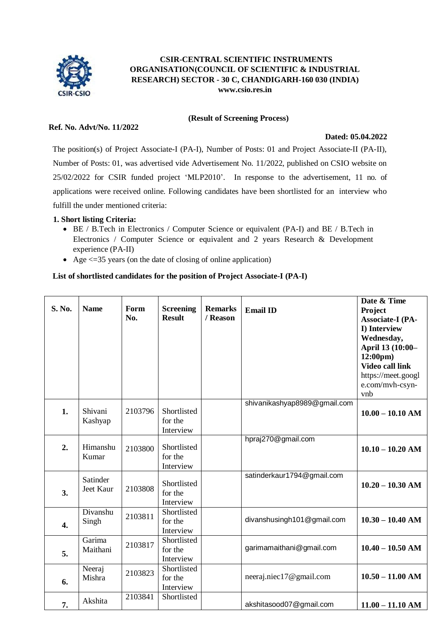

# **CSIR-CENTRAL SCIENTIFIC INSTRUMENTS ORGANISATION(COUNCIL OF SCIENTIFIC & INDUSTRIAL RESEARCH) SECTOR - 30 C, CHANDIGARH-160 030 (INDIA) [www.csio.res.in](http://www.csio.res.in/)**

**(Result of Screening Process)**

## **Ref. No. Advt/No. 11/2022**

#### **Dated: 05.04.2022**

The position(s) of Project Associate-I (PA-I), Number of Posts: 01 and Project Associate-II (PA-II), Number of Posts: 01, was advertised vide Advertisement No. 11/2022, published on CSIO website on 25/02/2022 for CSIR funded project 'MLP2010'. In response to the advertisement, 11 no. of applications were received online. Following candidates have been shortlisted for an interview who fulfill the under mentioned criteria:

#### **1. Short listing Criteria:**

- BE / B.Tech in Electronics / Computer Science or equivalent (PA-I) and BE / B.Tech in Electronics / Computer Science or equivalent and 2 years Research & Development experience (PA-II)
- Age  $\leq$  =35 years (on the date of closing of online application)

# **List of shortlisted candidates for the position of Project Associate-I (PA-I)**

| S. No. | <b>Name</b>           | Form<br>No. | <b>Screening</b><br><b>Result</b>   | <b>Remarks</b><br>/ Reason | <b>Email ID</b>              | Date & Time<br>Project<br><b>Associate-I (PA-</b><br>I) Interview<br>Wednesday,<br>April 13 (10:00-<br>$12:00 \text{pm}$<br><b>Video call link</b><br>https://meet.googl<br>e.com/mvh-csyn- |
|--------|-----------------------|-------------|-------------------------------------|----------------------------|------------------------------|---------------------------------------------------------------------------------------------------------------------------------------------------------------------------------------------|
|        |                       |             |                                     |                            |                              | vnb                                                                                                                                                                                         |
| 1.     | Shivani<br>Kashyap    | 2103796     | Shortlisted<br>for the<br>Interview |                            | shivanikashyap8989@gmail.com | $10.00 - 10.10$ AM                                                                                                                                                                          |
| 2.     | Himanshu<br>Kumar     | 2103800     | Shortlisted<br>for the<br>Interview |                            | hpraj270@gmail.com           | $10.10 - 10.20$ AM                                                                                                                                                                          |
| 3.     | Satinder<br>Jeet Kaur | 2103808     | Shortlisted<br>for the<br>Interview |                            | satinderkaur1794@gmail.com   | $10.20 - 10.30$ AM                                                                                                                                                                          |
| 4.     | Divanshu<br>Singh     | 2103811     | Shortlisted<br>for the<br>Interview |                            | divanshusingh101@gmail.com   | $10.30 - 10.40$ AM                                                                                                                                                                          |
| 5.     | Garima<br>Maithani    | 2103817     | Shortlisted<br>for the<br>Interview |                            | garimamaithani@gmail.com     | $10.40 - 10.50$ AM                                                                                                                                                                          |
| 6.     | Neeraj<br>Mishra      | 2103823     | Shortlisted<br>for the<br>Interview |                            | neeraj.niec17@gmail.com      | $10.50 - 11.00$ AM                                                                                                                                                                          |
| 7.     | Akshita               | 2103841     | Shortlisted                         |                            | akshitasood07@gmail.com      | $11.00 - 11.10$ AM                                                                                                                                                                          |